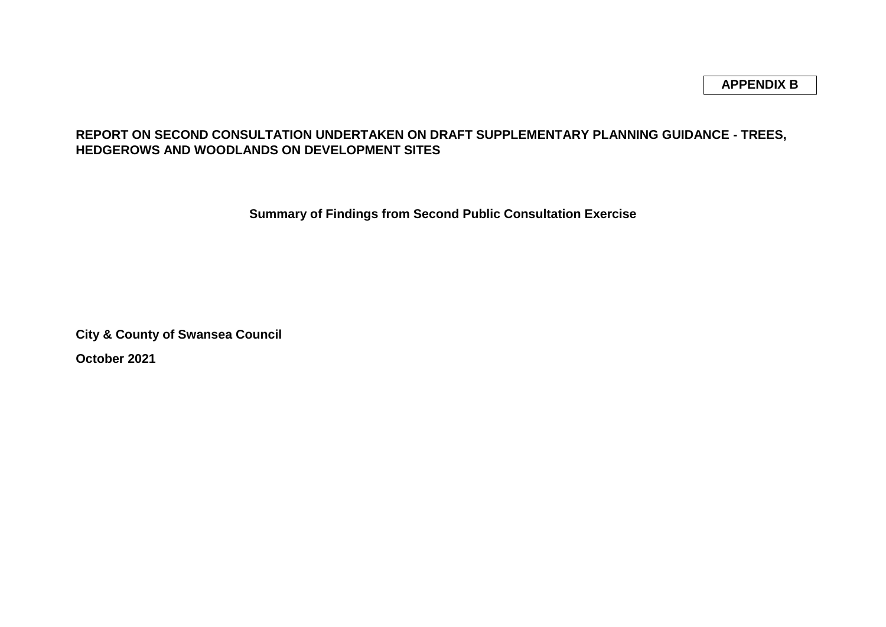### **REPORT ON SECOND CONSULTATION UNDERTAKEN ON DRAFT SUPPLEMENTARY PLANNING GUIDANCE - TREES, HEDGEROWS AND WOODLANDS ON DEVELOPMENT SITES**

**Summary of Findings from Second Public Consultation Exercise**

**City & County of Swansea Council**

**October 2021**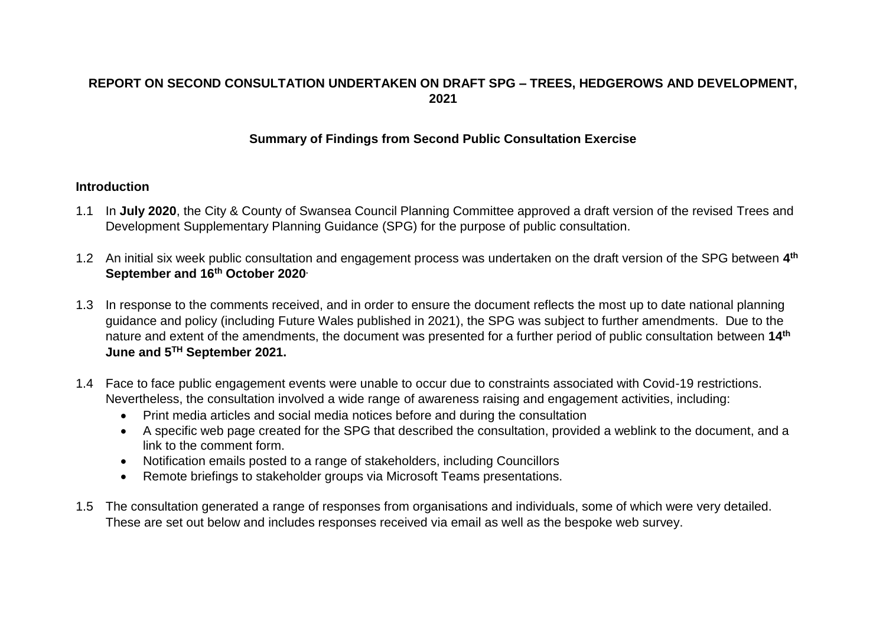## **REPORT ON SECOND CONSULTATION UNDERTAKEN ON DRAFT SPG – TREES, HEDGEROWS AND DEVELOPMENT, 2021**

#### **Summary of Findings from Second Public Consultation Exercise**

#### **Introduction**

- 1.1 In **July 2020**, the City & County of Swansea Council Planning Committee approved a draft version of the revised Trees and Development Supplementary Planning Guidance (SPG) for the purpose of public consultation.
- 1.2 An initial six week public consultation and engagement process was undertaken on the draft version of the SPG between **4 th September and 16th October 2020.**
- 1.3 In response to the comments received, and in order to ensure the document reflects the most up to date national planning guidance and policy (including Future Wales published in 2021), the SPG was subject to further amendments. Due to the nature and extent of the amendments, the document was presented for a further period of public consultation between **14th June and 5 TH September 2021.**
- 1.4 Face to face public engagement events were unable to occur due to constraints associated with Covid-19 restrictions. Nevertheless, the consultation involved a wide range of awareness raising and engagement activities, including:
	- Print media articles and social media notices before and during the consultation
	- A specific web page created for the SPG that described the consultation, provided a weblink to the document, and a link to the comment form.
	- Notification emails posted to a range of stakeholders, including Councillors
	- Remote briefings to stakeholder groups via Microsoft Teams presentations.
- 1.5 The consultation generated a range of responses from organisations and individuals, some of which were very detailed. These are set out below and includes responses received via email as well as the bespoke web survey.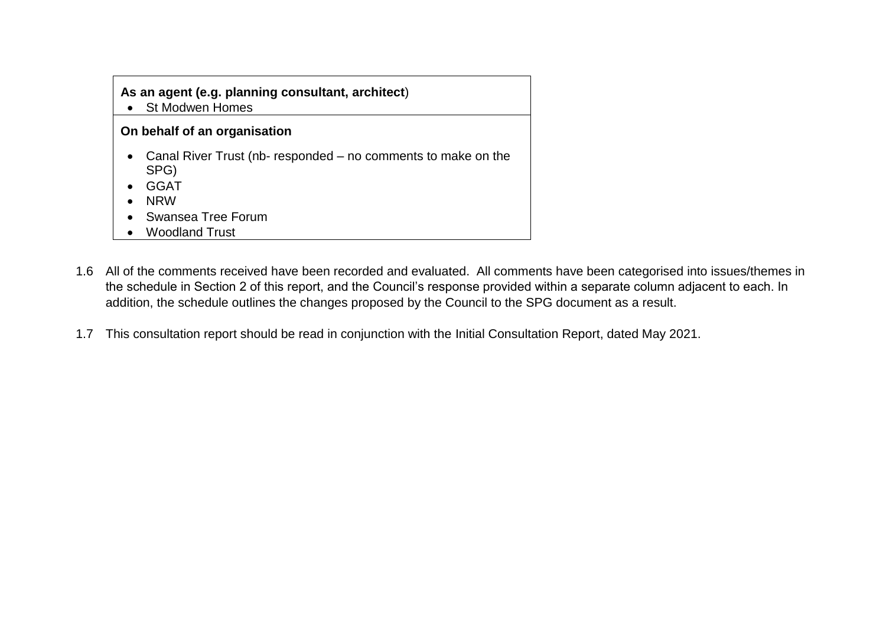### **As an agent (e.g. planning consultant, architect**)

St Modwen Homes

#### **On behalf of an organisation**

- Canal River Trust (nb- responded no comments to make on the SPG)
- GGAT
- NRW
- Swansea Tree Forum
- Woodland Trust
- 1.6 All of the comments received have been recorded and evaluated. All comments have been categorised into issues/themes in the schedule in Section 2 of this report, and the Council's response provided within a separate column adjacent to each. In addition, the schedule outlines the changes proposed by the Council to the SPG document as a result.
- 1.7 This consultation report should be read in conjunction with the Initial Consultation Report, dated May 2021.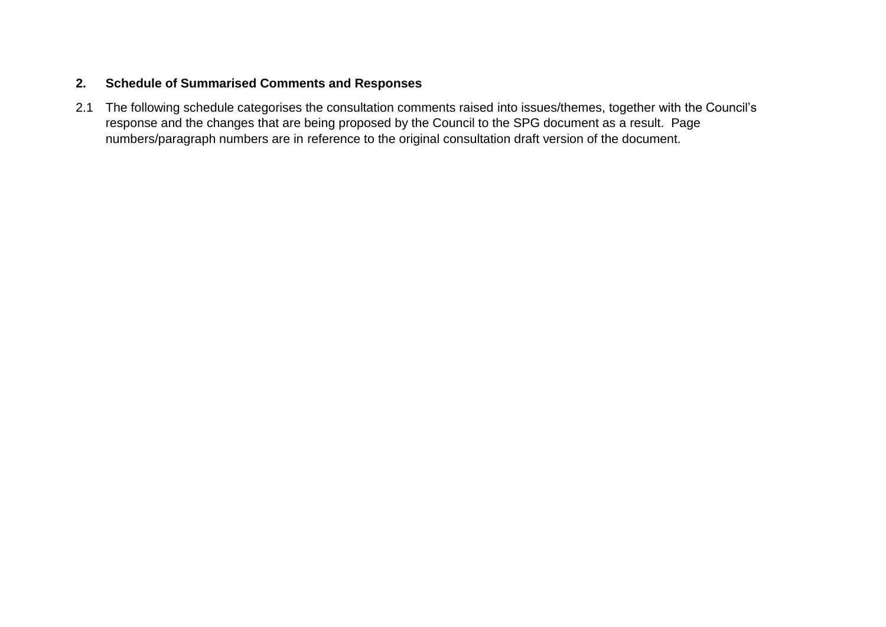### **2. Schedule of Summarised Comments and Responses**

2.1 The following schedule categorises the consultation comments raised into issues/themes, together with the Council's response and the changes that are being proposed by the Council to the SPG document as a result. Page numbers/paragraph numbers are in reference to the original consultation draft version of the document.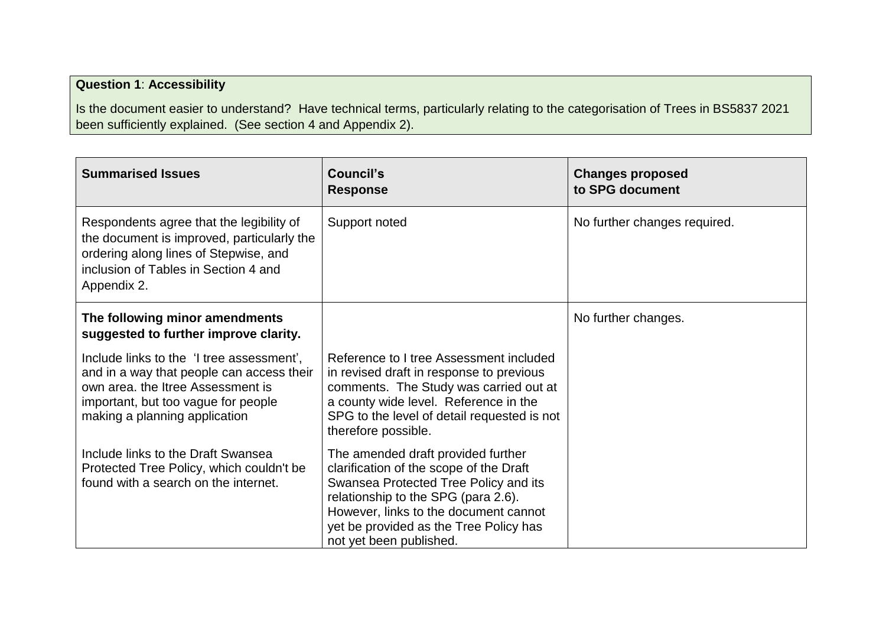# **Question 1**: **Accessibility**

Is the document easier to understand? Have technical terms, particularly relating to the categorisation of Trees in BS5837 2021 been sufficiently explained. (See section 4 and Appendix 2).

| <b>Summarised Issues</b>                                                                                                                                                                            | <b>Council's</b><br><b>Response</b>                                                                                                                                                                                                                                         | <b>Changes proposed</b><br>to SPG document |
|-----------------------------------------------------------------------------------------------------------------------------------------------------------------------------------------------------|-----------------------------------------------------------------------------------------------------------------------------------------------------------------------------------------------------------------------------------------------------------------------------|--------------------------------------------|
| Respondents agree that the legibility of<br>the document is improved, particularly the<br>ordering along lines of Stepwise, and<br>inclusion of Tables in Section 4 and<br>Appendix 2.              | Support noted                                                                                                                                                                                                                                                               | No further changes required.               |
| The following minor amendments<br>suggested to further improve clarity.                                                                                                                             |                                                                                                                                                                                                                                                                             | No further changes.                        |
| Include links to the 'I tree assessment',<br>and in a way that people can access their<br>own area. the Itree Assessment is<br>important, but too vague for people<br>making a planning application | Reference to I tree Assessment included<br>in revised draft in response to previous<br>comments. The Study was carried out at<br>a county wide level. Reference in the<br>SPG to the level of detail requested is not<br>therefore possible.                                |                                            |
| Include links to the Draft Swansea<br>Protected Tree Policy, which couldn't be<br>found with a search on the internet.                                                                              | The amended draft provided further<br>clarification of the scope of the Draft<br>Swansea Protected Tree Policy and its<br>relationship to the SPG (para 2.6).<br>However, links to the document cannot<br>yet be provided as the Tree Policy has<br>not yet been published. |                                            |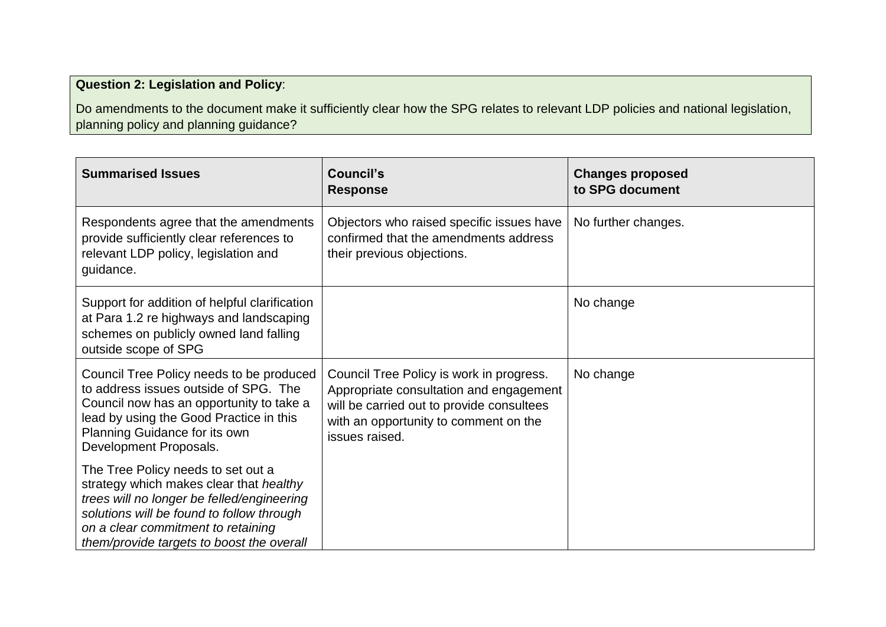# **Question 2: Legislation and Policy**:

Do amendments to the document make it sufficiently clear how the SPG relates to relevant LDP policies and national legislation, planning policy and planning guidance?

| <b>Summarised Issues</b>                                                                                                                                                                                                                                    | Council's<br><b>Response</b>                                                                                                                                                                | <b>Changes proposed</b><br>to SPG document |
|-------------------------------------------------------------------------------------------------------------------------------------------------------------------------------------------------------------------------------------------------------------|---------------------------------------------------------------------------------------------------------------------------------------------------------------------------------------------|--------------------------------------------|
| Respondents agree that the amendments<br>provide sufficiently clear references to<br>relevant LDP policy, legislation and<br>guidance.                                                                                                                      | Objectors who raised specific issues have<br>confirmed that the amendments address<br>their previous objections.                                                                            | No further changes.                        |
| Support for addition of helpful clarification<br>at Para 1.2 re highways and landscaping<br>schemes on publicly owned land falling<br>outside scope of SPG                                                                                                  |                                                                                                                                                                                             | No change                                  |
| Council Tree Policy needs to be produced<br>to address issues outside of SPG. The<br>Council now has an opportunity to take a<br>lead by using the Good Practice in this<br>Planning Guidance for its own<br>Development Proposals.                         | Council Tree Policy is work in progress.<br>Appropriate consultation and engagement<br>will be carried out to provide consultees<br>with an opportunity to comment on the<br>issues raised. | No change                                  |
| The Tree Policy needs to set out a<br>strategy which makes clear that healthy<br>trees will no longer be felled/engineering<br>solutions will be found to follow through<br>on a clear commitment to retaining<br>them/provide targets to boost the overall |                                                                                                                                                                                             |                                            |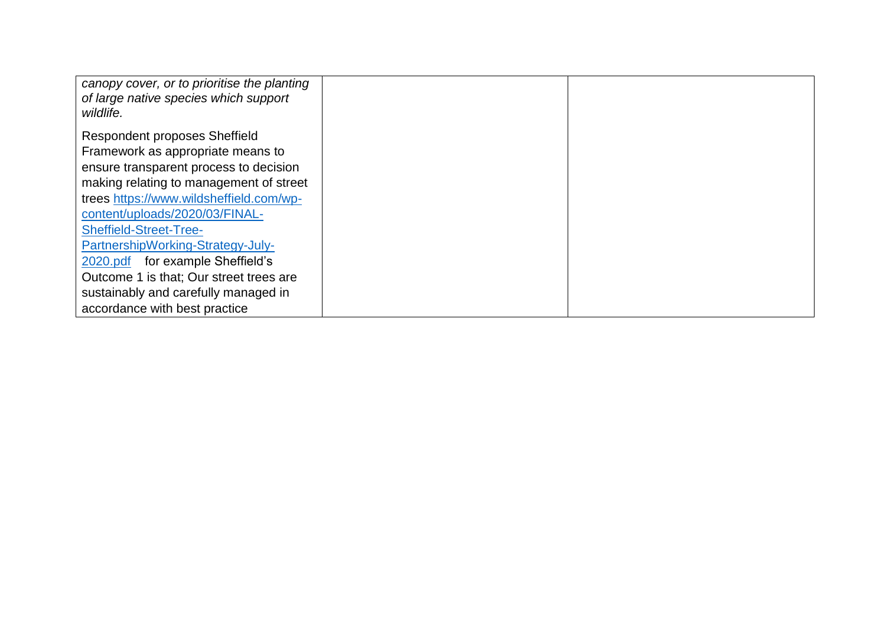| canopy cover, or to prioritise the planting<br>of large native species which support<br>wildlife. |  |
|---------------------------------------------------------------------------------------------------|--|
| Respondent proposes Sheffield                                                                     |  |
| Framework as appropriate means to                                                                 |  |
| ensure transparent process to decision                                                            |  |
| making relating to management of street                                                           |  |
| trees https://www.wildsheffield.com/wp-                                                           |  |
| content/uploads/2020/03/FINAL-                                                                    |  |
| <b>Sheffield-Street-Tree-</b>                                                                     |  |
| PartnershipWorking-Strategy-July-                                                                 |  |
| 2020.pdf for example Sheffield's                                                                  |  |
| Outcome 1 is that; Our street trees are                                                           |  |
| sustainably and carefully managed in                                                              |  |
| accordance with best practice                                                                     |  |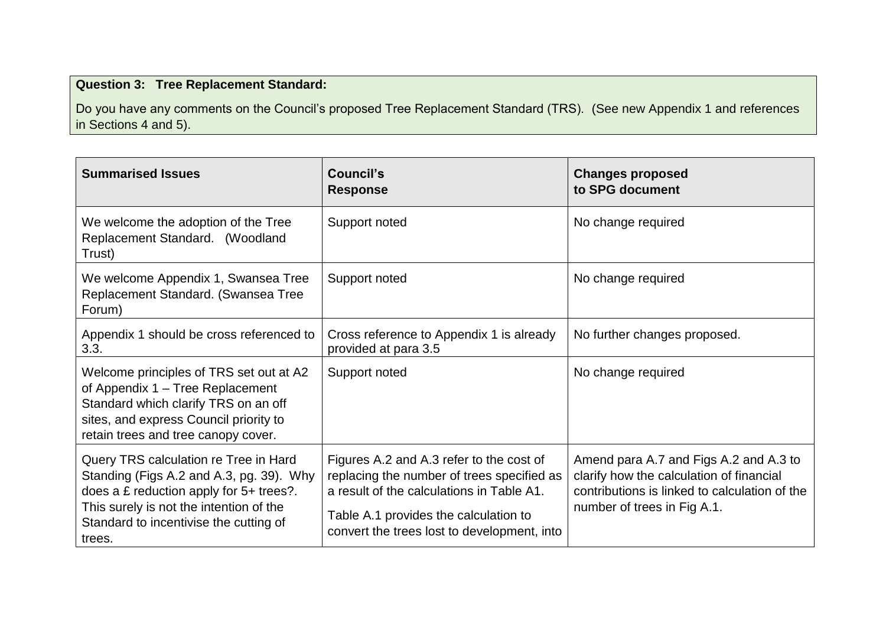# **Question 3: Tree Replacement Standard:**

Do you have any comments on the Council's proposed Tree Replacement Standard (TRS). (See new Appendix 1 and references in Sections 4 and 5).

| <b>Summarised Issues</b>                                                                                                                                                                                                    | Council's<br><b>Response</b>                                                                                                                                                                                                | <b>Changes proposed</b><br>to SPG document                                                                                                                         |
|-----------------------------------------------------------------------------------------------------------------------------------------------------------------------------------------------------------------------------|-----------------------------------------------------------------------------------------------------------------------------------------------------------------------------------------------------------------------------|--------------------------------------------------------------------------------------------------------------------------------------------------------------------|
| We welcome the adoption of the Tree<br>Replacement Standard. (Woodland<br>Trust)                                                                                                                                            | Support noted                                                                                                                                                                                                               | No change required                                                                                                                                                 |
| We welcome Appendix 1, Swansea Tree<br>Replacement Standard. (Swansea Tree<br>Forum)                                                                                                                                        | Support noted                                                                                                                                                                                                               | No change required                                                                                                                                                 |
| Appendix 1 should be cross referenced to<br>3.3.                                                                                                                                                                            | Cross reference to Appendix 1 is already<br>provided at para 3.5                                                                                                                                                            | No further changes proposed.                                                                                                                                       |
| Welcome principles of TRS set out at A2<br>of Appendix 1 – Tree Replacement<br>Standard which clarify TRS on an off<br>sites, and express Council priority to<br>retain trees and tree canopy cover.                        | Support noted                                                                                                                                                                                                               | No change required                                                                                                                                                 |
| Query TRS calculation re Tree in Hard<br>Standing (Figs A.2 and A.3, pg. 39). Why<br>does a £ reduction apply for 5+ trees?.<br>This surely is not the intention of the<br>Standard to incentivise the cutting of<br>trees. | Figures A.2 and A.3 refer to the cost of<br>replacing the number of trees specified as<br>a result of the calculations in Table A1.<br>Table A.1 provides the calculation to<br>convert the trees lost to development, into | Amend para A.7 and Figs A.2 and A.3 to<br>clarify how the calculation of financial<br>contributions is linked to calculation of the<br>number of trees in Fig A.1. |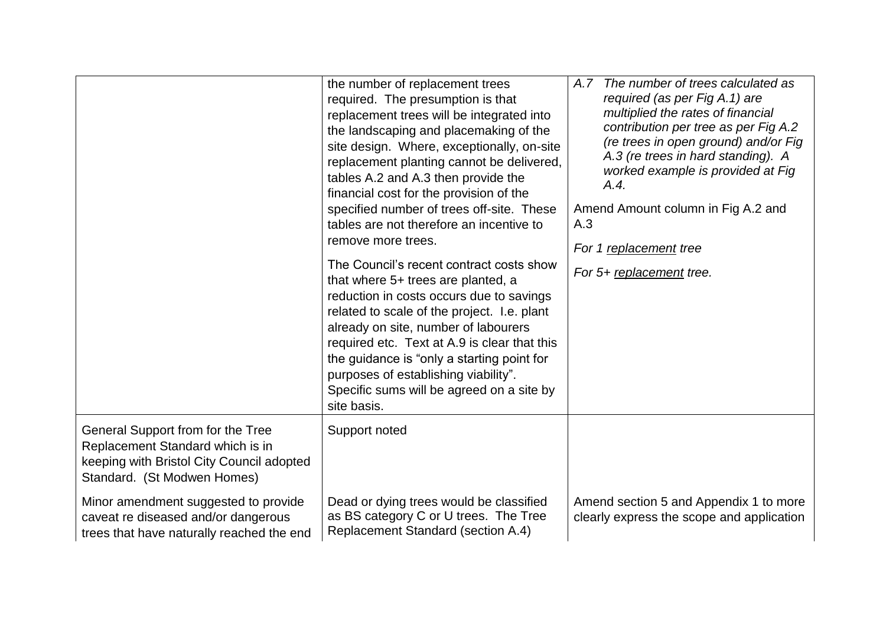|                                                                                                                                                   | the number of replacement trees<br>required. The presumption is that<br>replacement trees will be integrated into<br>the landscaping and placemaking of the<br>site design. Where, exceptionally, on-site<br>replacement planting cannot be delivered,<br>tables A.2 and A.3 then provide the<br>financial cost for the provision of the<br>specified number of trees off-site. These<br>tables are not therefore an incentive to<br>remove more trees.<br>The Council's recent contract costs show<br>that where 5+ trees are planted, a<br>reduction in costs occurs due to savings<br>related to scale of the project. I.e. plant<br>already on site, number of labourers<br>required etc. Text at A.9 is clear that this<br>the guidance is "only a starting point for<br>purposes of establishing viability".<br>Specific sums will be agreed on a site by<br>site basis. | A.7 The number of trees calculated as<br>required (as per Fig A.1) are<br>multiplied the rates of financial<br>contribution per tree as per Fig A.2<br>(re trees in open ground) and/or Fig<br>A.3 (re trees in hard standing). A<br>worked example is provided at Fig<br>A.4.<br>Amend Amount column in Fig A.2 and<br>A.3<br>For 1 replacement tree<br>For 5+ replacement tree. |
|---------------------------------------------------------------------------------------------------------------------------------------------------|--------------------------------------------------------------------------------------------------------------------------------------------------------------------------------------------------------------------------------------------------------------------------------------------------------------------------------------------------------------------------------------------------------------------------------------------------------------------------------------------------------------------------------------------------------------------------------------------------------------------------------------------------------------------------------------------------------------------------------------------------------------------------------------------------------------------------------------------------------------------------------|-----------------------------------------------------------------------------------------------------------------------------------------------------------------------------------------------------------------------------------------------------------------------------------------------------------------------------------------------------------------------------------|
| General Support from for the Tree<br>Replacement Standard which is in<br>keeping with Bristol City Council adopted<br>Standard. (St Modwen Homes) | Support noted                                                                                                                                                                                                                                                                                                                                                                                                                                                                                                                                                                                                                                                                                                                                                                                                                                                                  |                                                                                                                                                                                                                                                                                                                                                                                   |
| Minor amendment suggested to provide<br>caveat re diseased and/or dangerous<br>trees that have naturally reached the end                          | Dead or dying trees would be classified<br>as BS category C or U trees. The Tree<br>Replacement Standard (section A.4)                                                                                                                                                                                                                                                                                                                                                                                                                                                                                                                                                                                                                                                                                                                                                         | Amend section 5 and Appendix 1 to more<br>clearly express the scope and application                                                                                                                                                                                                                                                                                               |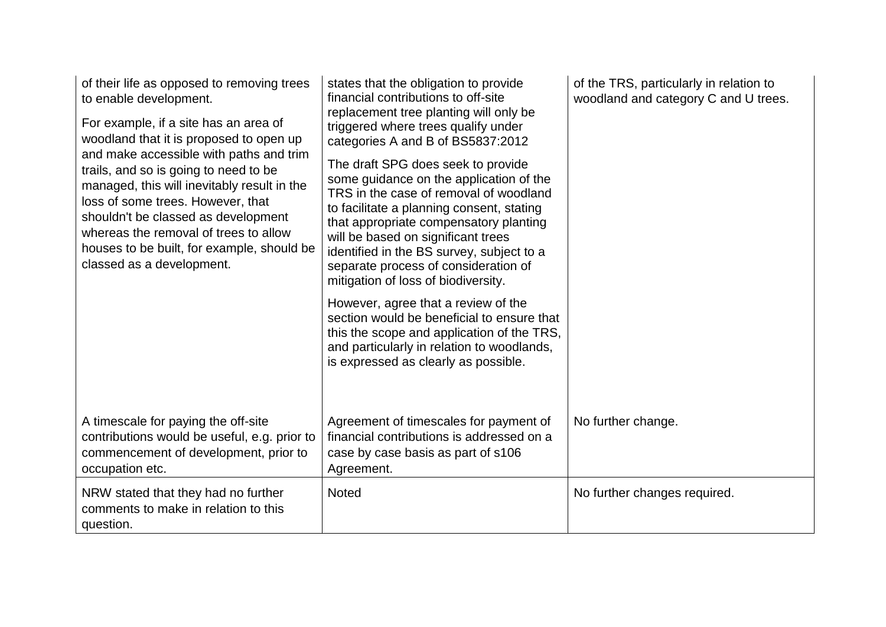| of their life as opposed to removing trees<br>to enable development.<br>For example, if a site has an area of<br>woodland that it is proposed to open up<br>and make accessible with paths and trim<br>trails, and so is going to need to be<br>managed, this will inevitably result in the<br>loss of some trees. However, that<br>shouldn't be classed as development<br>whereas the removal of trees to allow<br>houses to be built, for example, should be<br>classed as a development. | states that the obligation to provide<br>financial contributions to off-site<br>replacement tree planting will only be<br>triggered where trees qualify under<br>categories A and B of BS5837:2012<br>The draft SPG does seek to provide<br>some guidance on the application of the<br>TRS in the case of removal of woodland<br>to facilitate a planning consent, stating<br>that appropriate compensatory planting<br>will be based on significant trees<br>identified in the BS survey, subject to a<br>separate process of consideration of<br>mitigation of loss of biodiversity.<br>However, agree that a review of the<br>section would be beneficial to ensure that<br>this the scope and application of the TRS,<br>and particularly in relation to woodlands,<br>is expressed as clearly as possible. | of the TRS, particularly in relation to<br>woodland and category C and U trees. |
|---------------------------------------------------------------------------------------------------------------------------------------------------------------------------------------------------------------------------------------------------------------------------------------------------------------------------------------------------------------------------------------------------------------------------------------------------------------------------------------------|-----------------------------------------------------------------------------------------------------------------------------------------------------------------------------------------------------------------------------------------------------------------------------------------------------------------------------------------------------------------------------------------------------------------------------------------------------------------------------------------------------------------------------------------------------------------------------------------------------------------------------------------------------------------------------------------------------------------------------------------------------------------------------------------------------------------|---------------------------------------------------------------------------------|
| A timescale for paying the off-site<br>contributions would be useful, e.g. prior to<br>commencement of development, prior to<br>occupation etc.                                                                                                                                                                                                                                                                                                                                             | Agreement of timescales for payment of<br>financial contributions is addressed on a<br>case by case basis as part of s106<br>Agreement.                                                                                                                                                                                                                                                                                                                                                                                                                                                                                                                                                                                                                                                                         | No further change.                                                              |
| NRW stated that they had no further<br>comments to make in relation to this<br>question.                                                                                                                                                                                                                                                                                                                                                                                                    | <b>Noted</b>                                                                                                                                                                                                                                                                                                                                                                                                                                                                                                                                                                                                                                                                                                                                                                                                    | No further changes required.                                                    |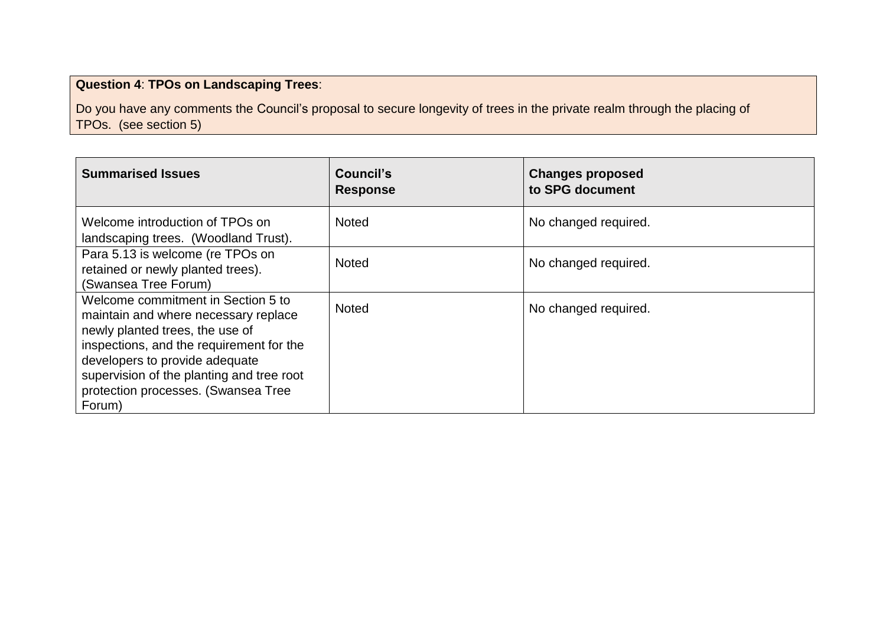# **Question 4**: **TPOs on Landscaping Trees**:

Do you have any comments the Council's proposal to secure longevity of trees in the private realm through the placing of TPOs. (see section 5)

| <b>Summarised Issues</b>                                                                                                                                                                                                                                                                  | Council's<br><b>Response</b> | <b>Changes proposed</b><br>to SPG document |
|-------------------------------------------------------------------------------------------------------------------------------------------------------------------------------------------------------------------------------------------------------------------------------------------|------------------------------|--------------------------------------------|
| Welcome introduction of TPOs on<br>landscaping trees. (Woodland Trust).                                                                                                                                                                                                                   | <b>Noted</b>                 | No changed required.                       |
| Para 5.13 is welcome (re TPOs on<br>retained or newly planted trees).<br>(Swansea Tree Forum)                                                                                                                                                                                             | <b>Noted</b>                 | No changed required.                       |
| Welcome commitment in Section 5 to<br>maintain and where necessary replace<br>newly planted trees, the use of<br>inspections, and the requirement for the<br>developers to provide adequate<br>supervision of the planting and tree root<br>protection processes. (Swansea Tree<br>Forum) | <b>Noted</b>                 | No changed required.                       |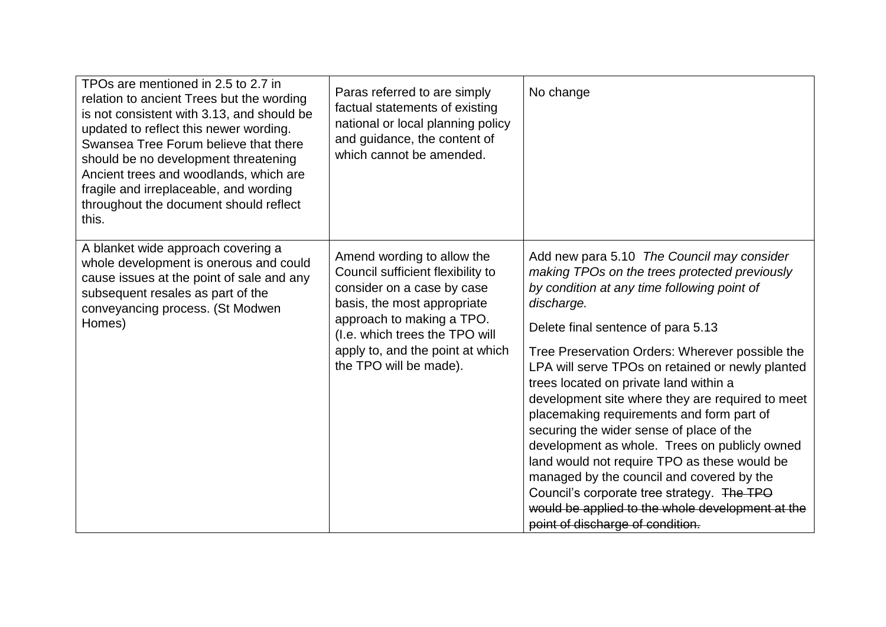| TPOs are mentioned in 2.5 to 2.7 in<br>relation to ancient Trees but the wording<br>is not consistent with 3.13, and should be<br>updated to reflect this newer wording.<br>Swansea Tree Forum believe that there<br>should be no development threatening<br>Ancient trees and woodlands, which are<br>fragile and irreplaceable, and wording<br>throughout the document should reflect<br>this. | Paras referred to are simply<br>factual statements of existing<br>national or local planning policy<br>and guidance, the content of<br>which cannot be amended.                                                                                           | No change                                                                                                                                                                                                                                                                                                                                                                                                                                                                                                                                                                                                                                                                                                                                                                        |
|--------------------------------------------------------------------------------------------------------------------------------------------------------------------------------------------------------------------------------------------------------------------------------------------------------------------------------------------------------------------------------------------------|-----------------------------------------------------------------------------------------------------------------------------------------------------------------------------------------------------------------------------------------------------------|----------------------------------------------------------------------------------------------------------------------------------------------------------------------------------------------------------------------------------------------------------------------------------------------------------------------------------------------------------------------------------------------------------------------------------------------------------------------------------------------------------------------------------------------------------------------------------------------------------------------------------------------------------------------------------------------------------------------------------------------------------------------------------|
| A blanket wide approach covering a<br>whole development is onerous and could<br>cause issues at the point of sale and any<br>subsequent resales as part of the<br>conveyancing process. (St Modwen<br>Homes)                                                                                                                                                                                     | Amend wording to allow the<br>Council sufficient flexibility to<br>consider on a case by case<br>basis, the most appropriate<br>approach to making a TPO.<br>(I.e. which trees the TPO will<br>apply to, and the point at which<br>the TPO will be made). | Add new para 5.10 The Council may consider<br>making TPOs on the trees protected previously<br>by condition at any time following point of<br>discharge.<br>Delete final sentence of para 5.13<br>Tree Preservation Orders: Wherever possible the<br>LPA will serve TPOs on retained or newly planted<br>trees located on private land within a<br>development site where they are required to meet<br>placemaking requirements and form part of<br>securing the wider sense of place of the<br>development as whole. Trees on publicly owned<br>land would not require TPO as these would be<br>managed by the council and covered by the<br>Council's corporate tree strategy. The TPO<br>would be applied to the whole development at the<br>point of discharge of condition. |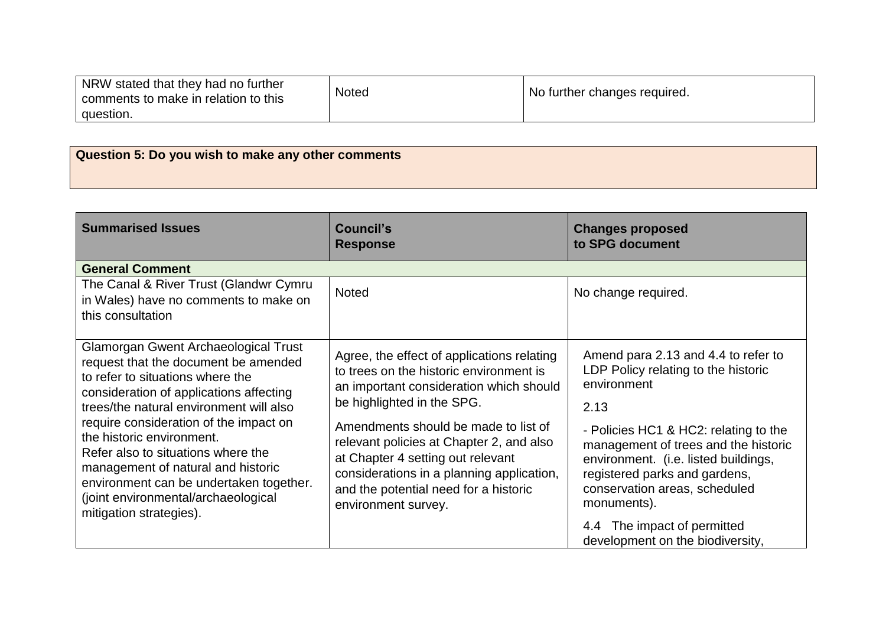| NRW stated that they had no further<br>comments to make in relation to this | <b>Noted</b> | No further changes required. |
|-----------------------------------------------------------------------------|--------------|------------------------------|
| question.                                                                   |              |                              |

| Question 5: Do you wish to make any other comments |  |
|----------------------------------------------------|--|
|                                                    |  |

| <b>Summarised Issues</b>                                                                                                                                                                                                                                                                                                                                                                                                                                               | Council's<br><b>Response</b>                                                                                                                                                                                                                                                                                                                                                                         | <b>Changes proposed</b><br>to SPG document                                                                                                                                                                                                                                                                  |
|------------------------------------------------------------------------------------------------------------------------------------------------------------------------------------------------------------------------------------------------------------------------------------------------------------------------------------------------------------------------------------------------------------------------------------------------------------------------|------------------------------------------------------------------------------------------------------------------------------------------------------------------------------------------------------------------------------------------------------------------------------------------------------------------------------------------------------------------------------------------------------|-------------------------------------------------------------------------------------------------------------------------------------------------------------------------------------------------------------------------------------------------------------------------------------------------------------|
| <b>General Comment</b>                                                                                                                                                                                                                                                                                                                                                                                                                                                 |                                                                                                                                                                                                                                                                                                                                                                                                      |                                                                                                                                                                                                                                                                                                             |
| The Canal & River Trust (Glandwr Cymru<br>in Wales) have no comments to make on<br>this consultation                                                                                                                                                                                                                                                                                                                                                                   | <b>Noted</b>                                                                                                                                                                                                                                                                                                                                                                                         | No change required.                                                                                                                                                                                                                                                                                         |
| Glamorgan Gwent Archaeological Trust<br>request that the document be amended<br>to refer to situations where the<br>consideration of applications affecting<br>trees/the natural environment will also<br>require consideration of the impact on<br>the historic environment.<br>Refer also to situations where the<br>management of natural and historic<br>environment can be undertaken together.<br>(joint environmental/archaeological<br>mitigation strategies). | Agree, the effect of applications relating<br>to trees on the historic environment is<br>an important consideration which should<br>be highlighted in the SPG.<br>Amendments should be made to list of<br>relevant policies at Chapter 2, and also<br>at Chapter 4 setting out relevant<br>considerations in a planning application,<br>and the potential need for a historic<br>environment survey. | Amend para 2.13 and 4.4 to refer to<br>LDP Policy relating to the historic<br>environment<br>2.13<br>- Policies HC1 & HC2: relating to the<br>management of trees and the historic<br>environment. (i.e. listed buildings,<br>registered parks and gardens,<br>conservation areas, scheduled<br>monuments). |
|                                                                                                                                                                                                                                                                                                                                                                                                                                                                        |                                                                                                                                                                                                                                                                                                                                                                                                      | 4.4 The impact of permitted<br>development on the biodiversity,                                                                                                                                                                                                                                             |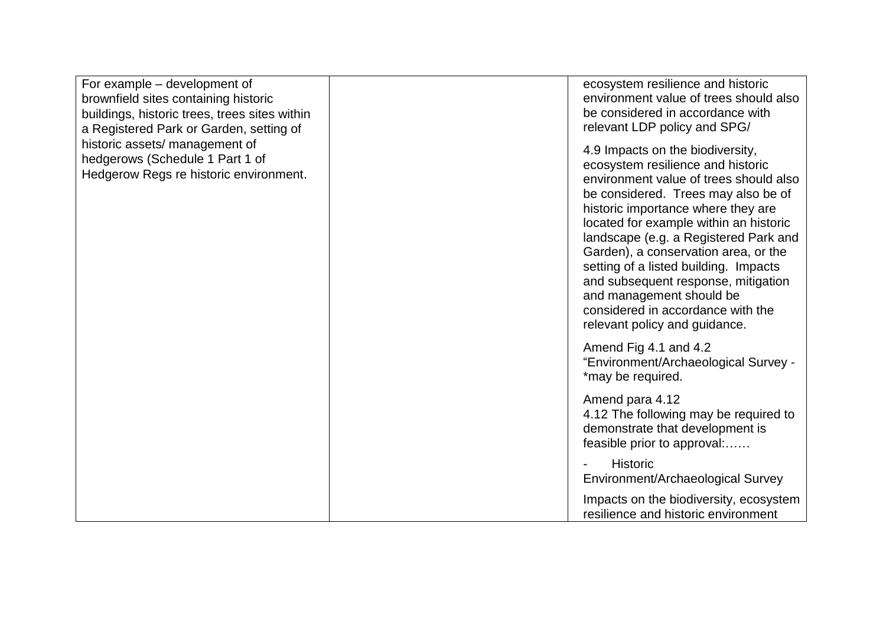| For example – development of<br>brownfield sites containing historic<br>buildings, historic trees, trees sites within<br>a Registered Park or Garden, setting of<br>historic assets/ management of<br>hedgerows (Schedule 1 Part 1 of<br>Hedgerow Regs re historic environment. | ecosystem resilience and historic<br>environment value of trees should also<br>be considered in accordance with<br>relevant LDP policy and SPG/                                                                                                                                                                                                                                                                                                                                                           |
|---------------------------------------------------------------------------------------------------------------------------------------------------------------------------------------------------------------------------------------------------------------------------------|-----------------------------------------------------------------------------------------------------------------------------------------------------------------------------------------------------------------------------------------------------------------------------------------------------------------------------------------------------------------------------------------------------------------------------------------------------------------------------------------------------------|
|                                                                                                                                                                                                                                                                                 | 4.9 Impacts on the biodiversity,<br>ecosystem resilience and historic<br>environment value of trees should also<br>be considered. Trees may also be of<br>historic importance where they are<br>located for example within an historic<br>landscape (e.g. a Registered Park and<br>Garden), a conservation area, or the<br>setting of a listed building. Impacts<br>and subsequent response, mitigation<br>and management should be<br>considered in accordance with the<br>relevant policy and guidance. |
|                                                                                                                                                                                                                                                                                 | Amend Fig 4.1 and 4.2<br>"Environment/Archaeological Survey -<br>*may be required.                                                                                                                                                                                                                                                                                                                                                                                                                        |
|                                                                                                                                                                                                                                                                                 | Amend para 4.12<br>4.12 The following may be required to<br>demonstrate that development is<br>feasible prior to approval:                                                                                                                                                                                                                                                                                                                                                                                |
|                                                                                                                                                                                                                                                                                 | <b>Historic</b><br>Environment/Archaeological Survey                                                                                                                                                                                                                                                                                                                                                                                                                                                      |
|                                                                                                                                                                                                                                                                                 | Impacts on the biodiversity, ecosystem<br>resilience and historic environment                                                                                                                                                                                                                                                                                                                                                                                                                             |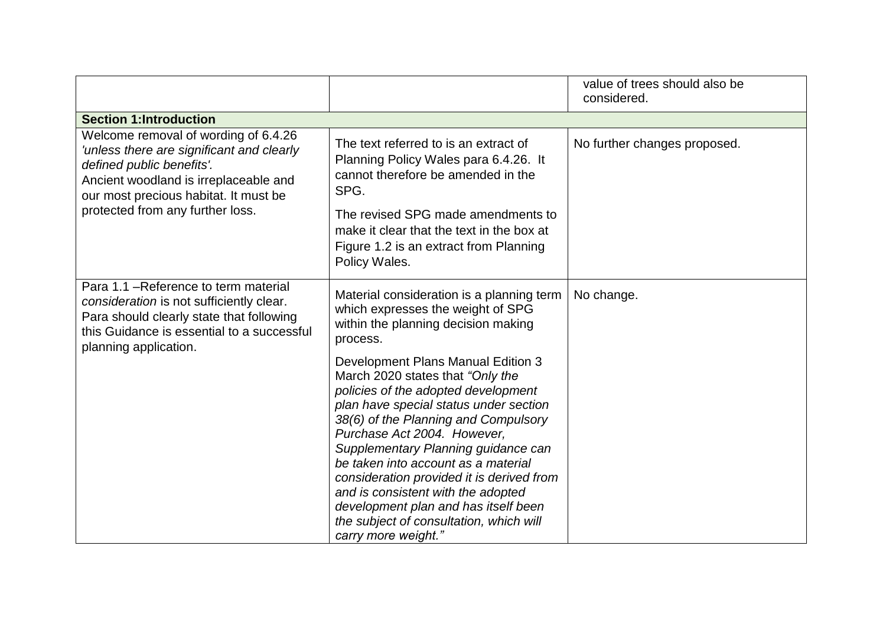|                                                                                                                                                                                                                                      |                                                                                                                                                                                                                                                                                                                                                                                                                                                                                                           | value of trees should also be<br>considered. |  |  |
|--------------------------------------------------------------------------------------------------------------------------------------------------------------------------------------------------------------------------------------|-----------------------------------------------------------------------------------------------------------------------------------------------------------------------------------------------------------------------------------------------------------------------------------------------------------------------------------------------------------------------------------------------------------------------------------------------------------------------------------------------------------|----------------------------------------------|--|--|
| <b>Section 1:Introduction</b>                                                                                                                                                                                                        |                                                                                                                                                                                                                                                                                                                                                                                                                                                                                                           |                                              |  |  |
| Welcome removal of wording of 6.4.26<br>'unless there are significant and clearly<br>defined public benefits'.<br>Ancient woodland is irreplaceable and<br>our most precious habitat. It must be<br>protected from any further loss. | The text referred to is an extract of<br>Planning Policy Wales para 6.4.26. It<br>cannot therefore be amended in the<br>SPG.<br>The revised SPG made amendments to                                                                                                                                                                                                                                                                                                                                        | No further changes proposed.                 |  |  |
|                                                                                                                                                                                                                                      | make it clear that the text in the box at<br>Figure 1.2 is an extract from Planning<br>Policy Wales.                                                                                                                                                                                                                                                                                                                                                                                                      |                                              |  |  |
| Para 1.1 – Reference to term material<br>consideration is not sufficiently clear.<br>Para should clearly state that following<br>this Guidance is essential to a successful<br>planning application.                                 | Material consideration is a planning term<br>which expresses the weight of SPG<br>within the planning decision making<br>process.                                                                                                                                                                                                                                                                                                                                                                         | No change.                                   |  |  |
|                                                                                                                                                                                                                                      | Development Plans Manual Edition 3<br>March 2020 states that "Only the<br>policies of the adopted development<br>plan have special status under section<br>38(6) of the Planning and Compulsory<br>Purchase Act 2004. However,<br>Supplementary Planning guidance can<br>be taken into account as a material<br>consideration provided it is derived from<br>and is consistent with the adopted<br>development plan and has itself been<br>the subject of consultation, which will<br>carry more weight." |                                              |  |  |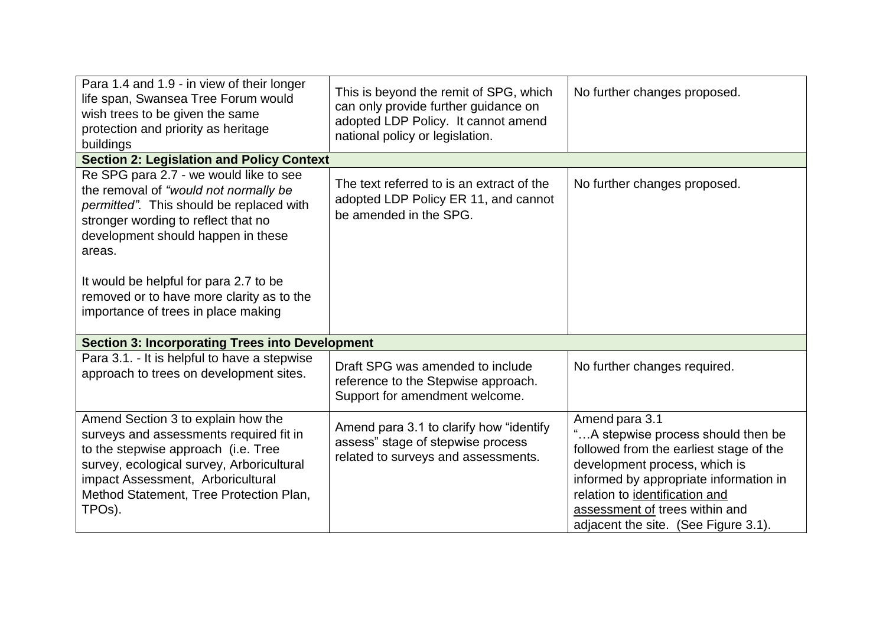| Para 1.4 and 1.9 - in view of their longer<br>life span, Swansea Tree Forum would<br>wish trees to be given the same<br>protection and priority as heritage<br>buildings                                                                                                 | This is beyond the remit of SPG, which<br>can only provide further guidance on<br>adopted LDP Policy. It cannot amend<br>national policy or legislation. | No further changes proposed.                                                                                                                                                                                                                                                           |  |  |
|--------------------------------------------------------------------------------------------------------------------------------------------------------------------------------------------------------------------------------------------------------------------------|----------------------------------------------------------------------------------------------------------------------------------------------------------|----------------------------------------------------------------------------------------------------------------------------------------------------------------------------------------------------------------------------------------------------------------------------------------|--|--|
| <b>Section 2: Legislation and Policy Context</b>                                                                                                                                                                                                                         |                                                                                                                                                          |                                                                                                                                                                                                                                                                                        |  |  |
| Re SPG para 2.7 - we would like to see<br>the removal of "would not normally be<br>permitted". This should be replaced with<br>stronger wording to reflect that no<br>development should happen in these<br>areas.                                                       | The text referred to is an extract of the<br>adopted LDP Policy ER 11, and cannot<br>be amended in the SPG.                                              | No further changes proposed.                                                                                                                                                                                                                                                           |  |  |
| It would be helpful for para 2.7 to be                                                                                                                                                                                                                                   |                                                                                                                                                          |                                                                                                                                                                                                                                                                                        |  |  |
| removed or to have more clarity as to the<br>importance of trees in place making                                                                                                                                                                                         |                                                                                                                                                          |                                                                                                                                                                                                                                                                                        |  |  |
| <b>Section 3: Incorporating Trees into Development</b>                                                                                                                                                                                                                   |                                                                                                                                                          |                                                                                                                                                                                                                                                                                        |  |  |
| Para 3.1. - It is helpful to have a stepwise<br>approach to trees on development sites.                                                                                                                                                                                  | Draft SPG was amended to include<br>reference to the Stepwise approach.<br>Support for amendment welcome.                                                | No further changes required.                                                                                                                                                                                                                                                           |  |  |
| Amend Section 3 to explain how the<br>surveys and assessments required fit in<br>to the stepwise approach (i.e. Tree<br>survey, ecological survey, Arboricultural<br>impact Assessment, Arboricultural<br>Method Statement, Tree Protection Plan,<br>TPO <sub>s</sub> ). | Amend para 3.1 to clarify how "identify"<br>assess" stage of stepwise process<br>related to surveys and assessments.                                     | Amend para 3.1<br>"A stepwise process should then be<br>followed from the earliest stage of the<br>development process, which is<br>informed by appropriate information in<br>relation to identification and<br>assessment of trees within and<br>adjacent the site. (See Figure 3.1). |  |  |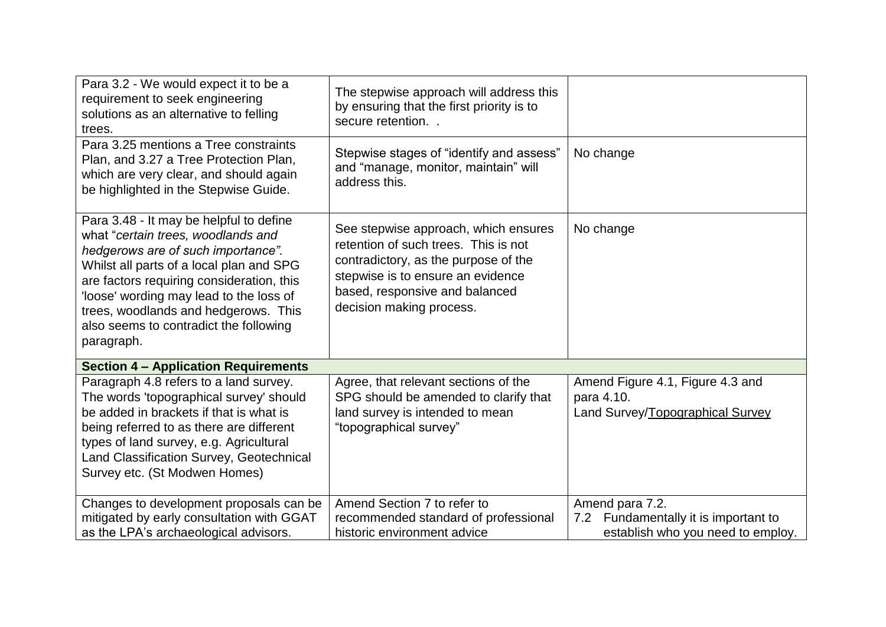| Para 3.2 - We would expect it to be a<br>requirement to seek engineering<br>solutions as an alternative to felling<br>trees.                                                                                                                                                                                                                           | The stepwise approach will address this<br>by ensuring that the first priority is to<br>secure retention                                                                                                                |                                                                                              |
|--------------------------------------------------------------------------------------------------------------------------------------------------------------------------------------------------------------------------------------------------------------------------------------------------------------------------------------------------------|-------------------------------------------------------------------------------------------------------------------------------------------------------------------------------------------------------------------------|----------------------------------------------------------------------------------------------|
| Para 3.25 mentions a Tree constraints<br>Plan, and 3.27 a Tree Protection Plan,<br>which are very clear, and should again<br>be highlighted in the Stepwise Guide.                                                                                                                                                                                     | Stepwise stages of "identify and assess"<br>and "manage, monitor, maintain" will<br>address this.                                                                                                                       | No change                                                                                    |
| Para 3.48 - It may be helpful to define<br>what "certain trees, woodlands and<br>hedgerows are of such importance".<br>Whilst all parts of a local plan and SPG<br>are factors requiring consideration, this<br>loose' wording may lead to the loss of<br>trees, woodlands and hedgerows. This<br>also seems to contradict the following<br>paragraph. | See stepwise approach, which ensures<br>retention of such trees. This is not<br>contradictory, as the purpose of the<br>stepwise is to ensure an evidence<br>based, responsive and balanced<br>decision making process. | No change                                                                                    |
| <b>Section 4 - Application Requirements</b>                                                                                                                                                                                                                                                                                                            |                                                                                                                                                                                                                         |                                                                                              |
| Paragraph 4.8 refers to a land survey.<br>The words 'topographical survey' should<br>be added in brackets if that is what is<br>being referred to as there are different<br>types of land survey, e.g. Agricultural<br>Land Classification Survey, Geotechnical<br>Survey etc. (St Modwen Homes)                                                       | Agree, that relevant sections of the<br>SPG should be amended to clarify that<br>land survey is intended to mean<br>"topographical survey"                                                                              | Amend Figure 4.1, Figure 4.3 and<br>para 4.10.<br>Land Survey/Topographical Survey           |
| Changes to development proposals can be<br>mitigated by early consultation with GGAT<br>as the LPA's archaeological advisors.                                                                                                                                                                                                                          | Amend Section 7 to refer to<br>recommended standard of professional<br>historic environment advice                                                                                                                      | Amend para 7.2.<br>7.2 Fundamentally it is important to<br>establish who you need to employ. |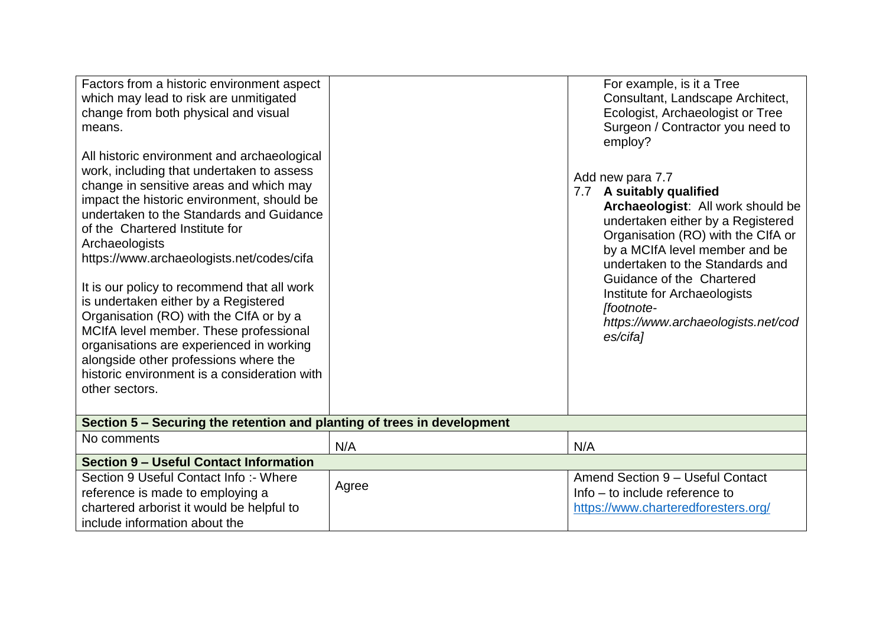| Factors from a historic environment aspect<br>which may lead to risk are unmitigated<br>change from both physical and visual<br>means.<br>All historic environment and archaeological<br>work, including that undertaken to assess<br>change in sensitive areas and which may<br>impact the historic environment, should be<br>undertaken to the Standards and Guidance<br>of the Chartered Institute for<br>Archaeologists<br>https://www.archaeologists.net/codes/cifa<br>It is our policy to recommend that all work<br>is undertaken either by a Registered<br>Organisation (RO) with the CIfA or by a<br>MCIfA level member. These professional<br>organisations are experienced in working<br>alongside other professions where the<br>historic environment is a consideration with<br>other sectors. |       | For example, is it a Tree<br>Consultant, Landscape Architect,<br>Ecologist, Archaeologist or Tree<br>Surgeon / Contractor you need to<br>employ?<br>Add new para 7.7<br>7.7 A suitably qualified<br>Archaeologist: All work should be<br>undertaken either by a Registered<br>Organisation (RO) with the CIfA or<br>by a MCIfA level member and be<br>undertaken to the Standards and<br>Guidance of the Chartered<br>Institute for Archaeologists<br>[footnote-<br>https://www.archaeologists.net/cod<br>es/cifa] |  |  |
|-------------------------------------------------------------------------------------------------------------------------------------------------------------------------------------------------------------------------------------------------------------------------------------------------------------------------------------------------------------------------------------------------------------------------------------------------------------------------------------------------------------------------------------------------------------------------------------------------------------------------------------------------------------------------------------------------------------------------------------------------------------------------------------------------------------|-------|--------------------------------------------------------------------------------------------------------------------------------------------------------------------------------------------------------------------------------------------------------------------------------------------------------------------------------------------------------------------------------------------------------------------------------------------------------------------------------------------------------------------|--|--|
| Section 5 - Securing the retention and planting of trees in development                                                                                                                                                                                                                                                                                                                                                                                                                                                                                                                                                                                                                                                                                                                                     |       |                                                                                                                                                                                                                                                                                                                                                                                                                                                                                                                    |  |  |
| No comments                                                                                                                                                                                                                                                                                                                                                                                                                                                                                                                                                                                                                                                                                                                                                                                                 | N/A   | N/A                                                                                                                                                                                                                                                                                                                                                                                                                                                                                                                |  |  |
| <b>Section 9 - Useful Contact Information</b>                                                                                                                                                                                                                                                                                                                                                                                                                                                                                                                                                                                                                                                                                                                                                               |       |                                                                                                                                                                                                                                                                                                                                                                                                                                                                                                                    |  |  |
| Section 9 Useful Contact Info: - Where<br>reference is made to employing a<br>chartered arborist it would be helpful to<br>include information about the                                                                                                                                                                                                                                                                                                                                                                                                                                                                                                                                                                                                                                                    | Agree | Amend Section 9 - Useful Contact<br>Info – to include reference to<br>https://www.charteredforesters.org/                                                                                                                                                                                                                                                                                                                                                                                                          |  |  |